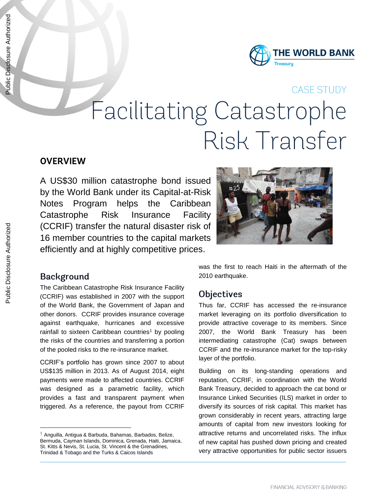## CASE STUDY

# **Facilitating Catastrophe** Risk Transfer

# **OVERVIEW**

A US\$30 million catastrophe bond issued by the World Bank under its Capital-at-Risk Notes Program helps the Caribbean Catastrophe Risk Insurance Facility (CCRIF) transfer the natural disaster risk of 16 member countries to the capital markets efficiently and at highly competitive prices.



## **Background**

 $\overline{a}$ 

The Caribbean Catastrophe Risk Insurance Facility (CCRIF) was established in 2007 with the support of the World Bank, the Government of Japan and other donors. CCRIF provides insurance coverage against earthquake, hurricanes and excessive rainfall to sixteen Caribbean countries<sup>1</sup> by pooling the risks of the countries and transferring a portion of the pooled risks to the re-insurance market.

CCRIF's portfolio has grown since 2007 to about US\$135 million in 2013. As of August 2014, eight payments were made to affected countries. CCRIF was designed as a parametric facility, which provides a fast and transparent payment when triggered. As a reference, the payout from CCRIF

was the first to reach Haiti in the aftermath of the 2010 earthquake.

#### **Objectives**

Thus far, CCRIF has accessed the re-insurance market leveraging on its portfolio diversification to provide attractive coverage to its members. Since 2007, the World Bank Treasury has been intermediating catastrophe (Cat) swaps between CCRIF and the re-insurance market for the top-risky layer of the portfolio.

Building on its long-standing operations and reputation, CCRIF, in coordination with the World Bank Treasury, decided to approach the cat bond or Insurance Linked Securities (ILS) market in order to diversify its sources of risk capital. This market has grown considerably in recent years, attracting large amounts of capital from new investors looking for attractive returns and uncorrelated risks. The influx of new capital has pushed down pricing and created very attractive opportunities for public sector issuers

<sup>&</sup>lt;sup>1</sup> Anguilla, Antigua & Barbuda, Bahamas, Barbados, Belize, Bermuda, Cayman Islands, Dominica, Grenada, Haiti, Jamaica, St. Kitts & Nevis, St. Lucia, St. Vincent & the Grenadines, Trinidad & Tobago and the Turks & Caicos Islands